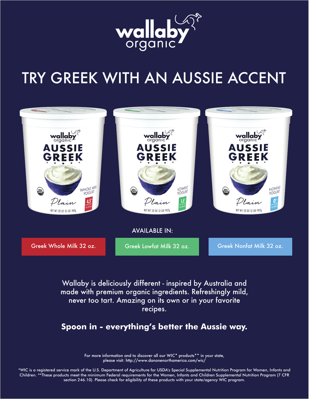

# TRY GREEK WITH AN AUSSIE ACCENT



Wallaby is deliciously different - inspired by Australia and made with premium organic ingredients. Refreshingly mild, never too tart. Amazing on its own or in your favorite recipes.

**Spoon in - everything's better the Aussie way.**

For more information and to discover all our WIC\* products\*\* in your state, please visit: http://www.danonenorthamerica.com/wic/

\*WIC is a registered service mark of the U.S. Department of Agriculture for USDA's Special Supplemental Nutrition Program for Women, Infants and Children. \*\*These products meet the minimum Federal requirements for the Women, Infants and Children Supplemental Nutrition Program (7 CFR section 246.10). Please check for eligibility of these products with your state/agency WIC program.